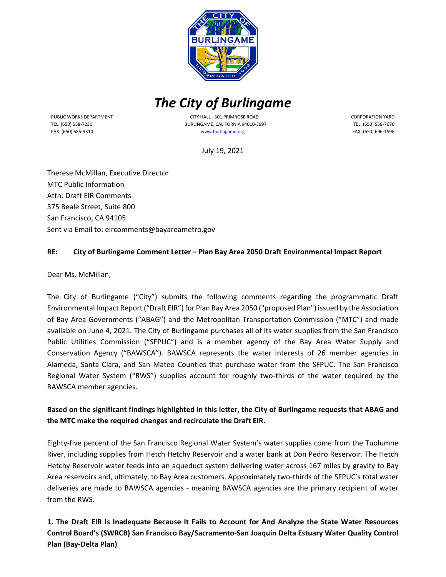

# *The City of Burlingame*

PUBLIC WORKS DEPARTMENT TEL: (650) 558-7230 FAX: (650) 685-9310

 CITY HALL - 501 PRIMROSE ROAD BURLINGAME, CALIFORNIA 94010-3997 [www.burlingame.org](http://www.burlingame.org/)

CORPORATION YARD TEL: (650) 558-7670 FAX: (650) 696-1598

July 19, 2021

Therese McMillan, Executive Director MTC Public Information Attn: Draft EIR Comments 375 Beale Street, Suite 800 San Francisco, CA 94105 Sent via Email to: eircomments@bayareametro.gov

#### **RE: City of Burlingame Comment Letter – Plan Bay Area 2050 Draft Environmental Impact Report**

Dear Ms. McMillan,

The City of Burlingame ("City") submits the following comments regarding the programmatic Draft Environmental Impact Report ("Draft EIR") for Plan Bay Area 2050 ("proposed Plan") issued by the Association of Bay Area Governments ("ABAG") and the Metropolitan Transportation Commission ("MTC") and made available on June 4, 2021. The City of Burlingame purchases all of its water supplies from the San Francisco Public Utilities Commission ("SFPUC") and is a member agency of the Bay Area Water Supply and Conservation Agency ("BAWSCA"). BAWSCA represents the water interests of 26 member agencies in Alameda, Santa Clara, and San Mateo Counties that purchase water from the SFPUC. The San Francisco Regional Water System ("RWS") supplies account for roughly two-thirds of the water required by the BAWSCA member agencies.

## **Based on the significant findings highlighted in this letter, the City of Burlingame requests that ABAG and the MTC make the required changes and recirculate the Draft EIR.**

Eighty-five percent of the San Francisco Regional Water System's water supplies come from the Tuolumne River, including supplies from Hetch Hetchy Reservoir and a water bank at Don Pedro Reservoir. The Hetch Hetchy Reservoir water feeds into an aqueduct system delivering water across 167 miles by gravity to Bay Area reservoirs and, ultimately, to Bay Area customers. Approximately two-thirds of the SFPUC's total water deliveries are made to BAWSCA agencies - meaning BAWSCA agencies are the primary recipient of water from the RWS.

**1. The Draft EIR Is Inadequate Because It Fails to Account for And Analyze the State Water Resources Control Board's (SWRCB) San Francisco Bay/Sacramento-San Joaquin Delta Estuary Water Quality Control Plan (Bay-Delta Plan)**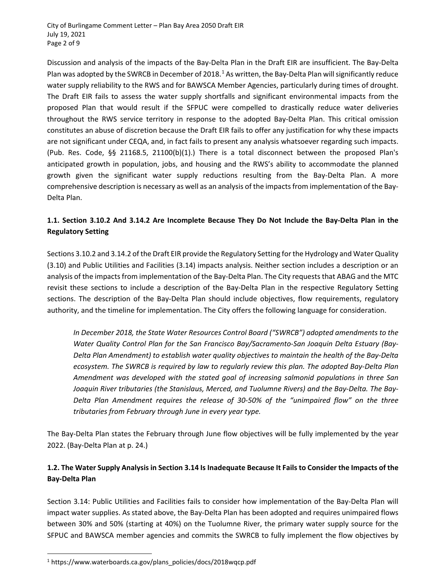Discussion and analysis of the impacts of the Bay-Delta Plan in the Draft EIR are insufficient. The Bay-Delta Plan was adopted by the SWRCB in December of 20[1](#page-1-0)8.<sup>1</sup> As written, the Bay-Delta Plan will significantly reduce water supply reliability to the RWS and for BAWSCA Member Agencies, particularly during times of drought. The Draft EIR fails to assess the water supply shortfalls and significant environmental impacts from the proposed Plan that would result if the SFPUC were compelled to drastically reduce water deliveries throughout the RWS service territory in response to the adopted Bay-Delta Plan. This critical omission constitutes an abuse of discretion because the Draft EIR fails to offer any justification for why these impacts are not significant under CEQA, and, in fact fails to present any analysis whatsoever regarding such impacts. (Pub. Res. Code, §§ 21168.5, 21100(b)(1).) There is a total disconnect between the proposed Plan's anticipated growth in population, jobs, and housing and the RWS's ability to accommodate the planned growth given the significant water supply reductions resulting from the Bay-Delta Plan. A more comprehensive description is necessary as well as an analysis of the impacts from implementation of the Bay-Delta Plan.

## **1.1. Section 3.10.2 And 3.14.2 Are Incomplete Because They Do Not Include the Bay-Delta Plan in the Regulatory Setting**

Sections 3.10.2 and 3.14.2 of the Draft EIR provide the Regulatory Setting for the Hydrology and Water Quality (3.10) and Public Utilities and Facilities (3.14) impacts analysis. Neither section includes a description or an analysis of the impacts from implementation of the Bay-Delta Plan. The City requests that ABAG and the MTC revisit these sections to include a description of the Bay-Delta Plan in the respective Regulatory Setting sections. The description of the Bay-Delta Plan should include objectives, flow requirements, regulatory authority, and the timeline for implementation. The City offers the following language for consideration.

*In December 2018, the State Water Resources Control Board ("SWRCB") adopted amendments to the Water Quality Control Plan for the San Francisco Bay/Sacramento-San Joaquin Delta Estuary (Bay-Delta Plan Amendment) to establish water quality objectives to maintain the health of the Bay-Delta ecosystem. The SWRCB is required by law to regularly review this plan. The adopted Bay-Delta Plan Amendment was developed with the stated goal of increasing salmonid populations in three San Joaquin River tributaries (the Stanislaus, Merced, and Tuolumne Rivers) and the Bay-Delta. The Bay-Delta Plan Amendment requires the release of 30-50% of the "unimpaired flow" on the three tributaries from February through June in every year type.*

The Bay-Delta Plan states the February through June flow objectives will be fully implemented by the year 2022. (Bay-Delta Plan at p. 24.)

## **1.2. The Water Supply Analysis in Section 3.14 Is Inadequate Because It Fails to Consider the Impacts of the Bay-Delta Plan**

Section 3.14: Public Utilities and Facilities fails to consider how implementation of the Bay-Delta Plan will impact water supplies. As stated above, the Bay-Delta Plan has been adopted and requires unimpaired flows between 30% and 50% (starting at 40%) on the Tuolumne River, the primary water supply source for the SFPUC and BAWSCA member agencies and commits the SWRCB to fully implement the flow objectives by

<span id="page-1-0"></span> $\overline{a}$ <sup>1</sup> https://www.waterboards.ca.gov/plans\_policies/docs/2018wqcp.pdf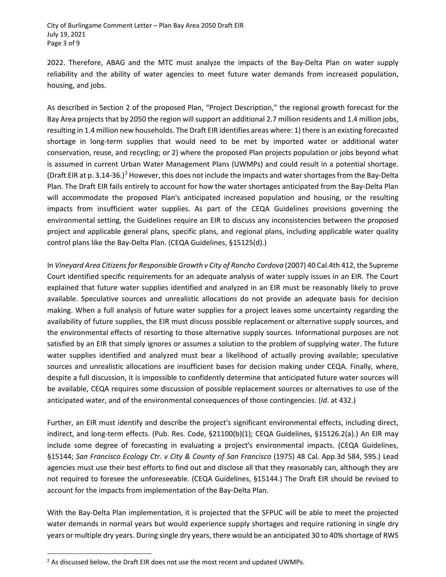2022. Therefore, ABAG and the MTC must analyze the impacts of the Bay-Delta Plan on water supply reliability and the ability of water agencies to meet future water demands from increased population, housing, and jobs.

As described in Section 2 of the proposed Plan, "Project Description," the regional growth forecast for the Bay Area projects that by 2050 the region will support an additional 2.7 million residents and 1.4 million jobs, resulting in 1.4 million new households. The Draft EIR identifies areas where: 1) there is an existing forecasted shortage in long-term supplies that would need to be met by imported water or additional water conservation, reuse, and recycling; or 2) where the proposed Plan projects population or jobs beyond what is assumed in current Urban Water Management Plans (UWMPs) and could result in a potential shortage. (Draft EIR at p. 3.14-36.)<sup>[2](#page-2-0)</sup> However, this does not include the impacts and water shortages from the Bay-Delta Plan. The Draft EIR fails entirely to account for how the water shortages anticipated from the Bay-Delta Plan will accommodate the proposed Plan's anticipated increased population and housing, or the resulting impacts from insufficient water supplies. As part of the CEQA Guidelines provisions governing the environmental setting, the Guidelines require an EIR to discuss any inconsistencies between the proposed project and applicable general plans, specific plans, and regional plans, including applicable water quality control plans like the Bay-Delta Plan. (CEQA Guidelines, §15125(d).)

In *Vineyard Area Citizens for Responsible Growth v City of Rancho Cordova* (2007) 40 Cal.4th 412, the Supreme Court identified specific requirements for an adequate analysis of water supply issues in an EIR. The Court explained that future water supplies identified and analyzed in an EIR must be reasonably likely to prove available. Speculative sources and unrealistic allocations do not provide an adequate basis for decision making. When a full analysis of future water supplies for a project leaves some uncertainty regarding the availability of future supplies, the EIR must discuss possible replacement or alternative supply sources, and the environmental effects of resorting to those alternative supply sources. Informational purposes are not satisfied by an EIR that simply ignores or assumes a solution to the problem of supplying water. The future water supplies identified and analyzed must bear a likelihood of actually proving available; speculative sources and unrealistic allocations are insufficient bases for decision making under CEQA. Finally, where, despite a full discussion, it is impossible to confidently determine that anticipated future water sources will be available, CEQA requires some discussion of possible replacement sources or alternatives to use of the anticipated water, and of the environmental consequences of those contingencies. (*Id*. at 432.)

Further, an EIR must identify and describe the project's significant environmental effects, including direct, indirect, and long-term effects. (Pub. Res. Code, §21100(b)(1); CEQA Guidelines, §15126.2(a).) An EIR may include some degree of forecasting in evaluating a project's environmental impacts. (CEQA Guidelines, §15144; *San Francisco Ecology Ctr. v City & County of San Francisco* (1975) 48 Cal. App.3d 584, 595.) Lead agencies must use their best efforts to find out and disclose all that they reasonably can, although they are not required to foresee the unforeseeable. (CEQA Guidelines, §15144.) The Draft EIR should be revised to account for the impacts from implementation of the Bay-Delta Plan.

With the Bay-Delta Plan implementation, it is projected that the SFPUC will be able to meet the projected water demands in normal years but would experience supply shortages and require rationing in single dry years or multiple dry years. During single dry years, there would be an anticipated 30 to 40% shortage of RWS

<span id="page-2-0"></span> $\overline{a}$  $<sup>2</sup>$  As discussed below, the Draft EIR does not use the most recent and updated UWMPs.</sup>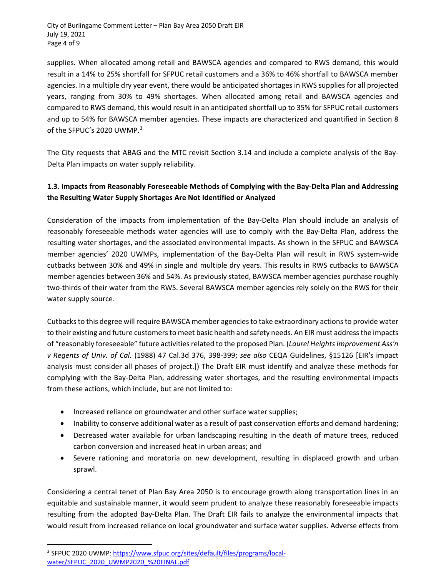supplies. When allocated among retail and BAWSCA agencies and compared to RWS demand, this would result in a 14% to 25% shortfall for SFPUC retail customers and a 36% to 46% shortfall to BAWSCA member agencies. In a multiple dry year event, there would be anticipated shortages in RWS supplies for all projected years, ranging from 30% to 49% shortages. When allocated among retail and BAWSCA agencies and compared to RWS demand, this would result in an anticipated shortfall up to 35% for SFPUC retail customers and up to 54% for BAWSCA member agencies. These impacts are characterized and quantified in Section 8 of the SFPUC's 2020 UWMP.<sup>[3](#page-3-0)</sup>

The City requests that ABAG and the MTC revisit Section 3.14 and include a complete analysis of the Bay-Delta Plan impacts on water supply reliability.

# **1.3. Impacts from Reasonably Foreseeable Methods of Complying with the Bay-Delta Plan and Addressing the Resulting Water Supply Shortages Are Not Identified or Analyzed**

Consideration of the impacts from implementation of the Bay-Delta Plan should include an analysis of reasonably foreseeable methods water agencies will use to comply with the Bay-Delta Plan, address the resulting water shortages, and the associated environmental impacts. As shown in the SFPUC and BAWSCA member agencies' 2020 UWMPs, implementation of the Bay-Delta Plan will result in RWS system-wide cutbacks between 30% and 49% in single and multiple dry years. This results in RWS cutbacks to BAWSCA member agencies between 36% and 54%. As previously stated, BAWSCA member agencies purchase roughly two-thirds of their water from the RWS. Several BAWSCA member agencies rely solely on the RWS for their water supply source.

Cutbacks to this degree will require BAWSCA member agencies to take extraordinary actions to provide water to their existing and future customers to meet basic health and safety needs. An EIR must address the impacts of "reasonably foreseeable" future activities related to the proposed Plan. (*Laurel Heights Improvement Ass'n v Regents of Univ. of Cal.* (1988) 47 Cal.3d 376, 398-399; *see also* CEQA Guidelines, §15126 [EIR's impact analysis must consider all phases of project.]) The Draft EIR must identify and analyze these methods for complying with the Bay-Delta Plan, addressing water shortages, and the resulting environmental impacts from these actions, which include, but are not limited to:

- Increased reliance on groundwater and other surface water supplies;
- Inability to conserve additional water as a result of past conservation efforts and demand hardening;
- Decreased water available for urban landscaping resulting in the death of mature trees, reduced carbon conversion and increased heat in urban areas; and
- Severe rationing and moratoria on new development, resulting in displaced growth and urban sprawl.

Considering a central tenet of Plan Bay Area 2050 is to encourage growth along transportation lines in an equitable and sustainable manner, it would seem prudent to analyze these reasonably foreseeable impacts resulting from the adopted Bay-Delta Plan. The Draft EIR fails to analyze the environmental impacts that would result from increased reliance on local groundwater and surface water supplies. Adverse effects from

<span id="page-3-0"></span> $\overline{a}$ <sup>3</sup> SFPUC 2020 UWMP: [https://www.sfpuc.org/sites/default/files/programs/local](https://www.sfpuc.org/sites/default/files/programs/local-water/SFPUC_2020_UWMP2020_%20FINAL.pdf)[water/SFPUC\\_2020\\_UWMP2020\\_%20FINAL.pdf](https://www.sfpuc.org/sites/default/files/programs/local-water/SFPUC_2020_UWMP2020_%20FINAL.pdf)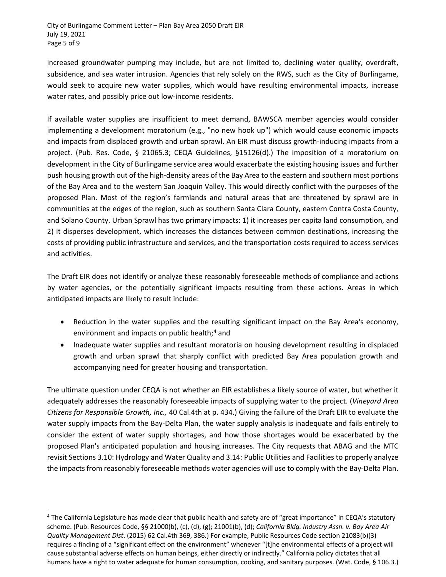increased groundwater pumping may include, but are not limited to, declining water quality, overdraft, subsidence, and sea water intrusion. Agencies that rely solely on the RWS, such as the City of Burlingame, would seek to acquire new water supplies, which would have resulting environmental impacts, increase water rates, and possibly price out low-income residents.

If available water supplies are insufficient to meet demand, BAWSCA member agencies would consider implementing a development moratorium (e.g., "no new hook up") which would cause economic impacts and impacts from displaced growth and urban sprawl. An EIR must discuss growth-inducing impacts from a project. (Pub. Res. Code, § 21065.3; CEQA Guidelines, §15126(d).) The imposition of a moratorium on development in the City of Burlingame service area would exacerbate the existing housing issues and further push housing growth out of the high-density areas of the Bay Area to the eastern and southern most portions of the Bay Area and to the western San Joaquin Valley. This would directly conflict with the purposes of the proposed Plan. Most of the region's farmlands and natural areas that are threatened by sprawl are in communities at the edges of the region, such as southern Santa Clara County, eastern Contra Costa County, and Solano County. Urban Sprawl has two primary impacts: 1) it increases per capita land consumption, and 2) it disperses development, which increases the distances between common destinations, increasing the costs of providing public infrastructure and services, and the transportation costs required to access services and activities.

The Draft EIR does not identify or analyze these reasonably foreseeable methods of compliance and actions by water agencies, or the potentially significant impacts resulting from these actions. Areas in which anticipated impacts are likely to result include:

- Reduction in the water supplies and the resulting significant impact on the Bay Area's economy, environment and impacts on public health;<sup>[4](#page-4-0)</sup> and
- Inadequate water supplies and resultant moratoria on housing development resulting in displaced growth and urban sprawl that sharply conflict with predicted Bay Area population growth and accompanying need for greater housing and transportation.

The ultimate question under CEQA is not whether an EIR establishes a likely source of water, but whether it adequately addresses the reasonably foreseeable impacts of supplying water to the project. (*Vineyard Area Citizens for Responsible Growth, Inc.,* 40 Cal.4th at p. 434.) Giving the failure of the Draft EIR to evaluate the water supply impacts from the Bay-Delta Plan, the water supply analysis is inadequate and fails entirely to consider the extent of water supply shortages, and how those shortages would be exacerbated by the proposed Plan's anticipated population and housing increases. The City requests that ABAG and the MTC revisit Sections 3.10: Hydrology and Water Quality and 3.14: Public Utilities and Facilities to properly analyze the impacts from reasonably foreseeable methods water agencies will use to comply with the Bay-Delta Plan.

 $\overline{a}$ 

<span id="page-4-0"></span> $4$  The California Legislature has made clear that public health and safety are of "great importance" in CEQA's statutory scheme. (Pub. Resources Code, §§ 21000(b), (c), (d), (g); 21001(b), (d); *California Bldg. Industry Assn. v. Bay Area Air Quality Management Dist*. (2015) 62 Cal.4th 369, 386.) For example, Public Resources Code section 21083(b)(3) requires a finding of a "significant effect on the environment" whenever "[t]he environmental effects of a project will cause substantial adverse effects on human beings, either directly or indirectly." California policy dictates that all humans have a right to water adequate for human consumption, cooking, and sanitary purposes. (Wat. Code, § 106.3.)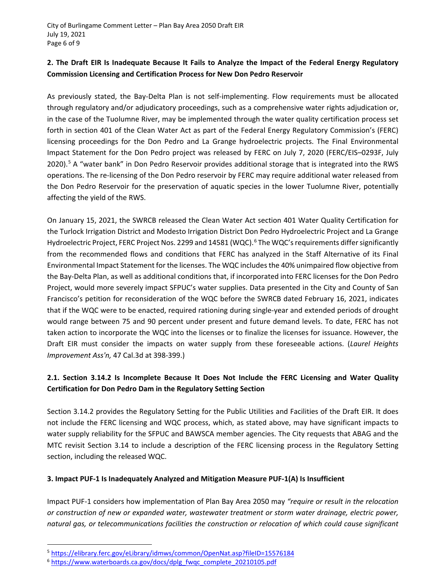#### **2. The Draft EIR Is Inadequate Because It Fails to Analyze the Impact of the Federal Energy Regulatory Commission Licensing and Certification Process for New Don Pedro Reservoir**

As previously stated, the Bay-Delta Plan is not self-implementing. Flow requirements must be allocated through regulatory and/or adjudicatory proceedings, such as a comprehensive water rights adjudication or, in the case of the Tuolumne River, may be implemented through the water quality certification process set forth in section 401 of the Clean Water Act as part of the Federal Energy Regulatory Commission's (FERC) licensing proceedings for the Don Pedro and La Grange hydroelectric projects. The Final Environmental Impact Statement for the Don Pedro project was released by FERC on July 7, 2020 (FERC/EIS–0293F, July 2020).<sup>[5](#page-5-0)</sup> A "water bank" in Don Pedro Reservoir provides additional storage that is integrated into the RWS operations. The re-licensing of the Don Pedro reservoir by FERC may require additional water released from the Don Pedro Reservoir for the preservation of aquatic species in the lower Tuolumne River, potentially affecting the yield of the RWS.

On January 15, 2021, the SWRCB released the Clean Water Act section 401 Water Quality Certification for the Turlock Irrigation District and Modesto Irrigation District Don Pedro Hydroelectric Project and La Grange Hydroelectric Project, FERC Project Nos. 2299 and 14581 (WQC).<sup>[6](#page-5-1)</sup> The WQC's requirements differ significantly from the recommended flows and conditions that FERC has analyzed in the Staff Alternative of its Final Environmental Impact Statement for the licenses. The WQC includes the 40% unimpaired flow objective from the Bay-Delta Plan, as well as additional conditions that, if incorporated into FERC licenses for the Don Pedro Project, would more severely impact SFPUC's water supplies. Data presented in the City and County of San Francisco's petition for reconsideration of the WQC before the SWRCB dated February 16, 2021, indicates that if the WQC were to be enacted, required rationing during single-year and extended periods of drought would range between 75 and 90 percent under present and future demand levels. To date, FERC has not taken action to incorporate the WQC into the licenses or to finalize the licenses for issuance. However, the Draft EIR must consider the impacts on water supply from these foreseeable actions. (*Laurel Heights Improvement Ass'n,* 47 Cal.3d at 398-399.)

# **2.1. Section 3.14.2 Is Incomplete Because It Does Not Include the FERC Licensing and Water Quality Certification for Don Pedro Dam in the Regulatory Setting Section**

Section 3.14.2 provides the Regulatory Setting for the Public Utilities and Facilities of the Draft EIR. It does not include the FERC licensing and WQC process, which, as stated above, may have significant impacts to water supply reliability for the SFPUC and BAWSCA member agencies. The City requests that ABAG and the MTC revisit Section 3.14 to include a description of the FERC licensing process in the Regulatory Setting section, including the released WQC.

#### **3. Impact PUF-1 Is Inadequately Analyzed and Mitigation Measure PUF-1(A) Is Insufficient**

Impact PUF-1 considers how implementation of Plan Bay Area 2050 may *"require or result in the relocation or construction of new or expanded water, wastewater treatment or storm water drainage, electric power, natural gas, or telecommunications facilities the construction or relocation of which could cause significant* 

 $\overline{a}$ 

<span id="page-5-0"></span><sup>5</sup> <https://elibrary.ferc.gov/eLibrary/idmws/common/OpenNat.asp?fileID=15576184>

<span id="page-5-1"></span><sup>&</sup>lt;sup>6</sup> [https://www.waterboards.ca.gov/docs/dplg\\_fwqc\\_complete\\_20210105.pdf](https://www.waterboards.ca.gov/docs/dplg_fwqc_complete_20210105.pdf)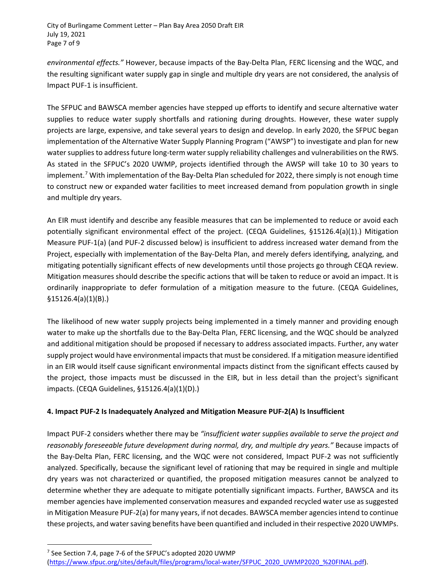*environmental effects."* However, because impacts of the Bay-Delta Plan, FERC licensing and the WQC, and the resulting significant water supply gap in single and multiple dry years are not considered, the analysis of Impact PUF-1 is insufficient.

The SFPUC and BAWSCA member agencies have stepped up efforts to identify and secure alternative water supplies to reduce water supply shortfalls and rationing during droughts. However, these water supply projects are large, expensive, and take several years to design and develop. In early 2020, the SFPUC began implementation of the Alternative Water Supply Planning Program ("AWSP") to investigate and plan for new water supplies to address future long-term water supply reliability challenges and vulnerabilities on the RWS. As stated in the SFPUC's 2020 UWMP, projects identified through the AWSP will take 10 to 30 years to implement.<sup>[7](#page-6-0)</sup> With implementation of the Bay-Delta Plan scheduled for 2022, there simply is not enough time to construct new or expanded water facilities to meet increased demand from population growth in single and multiple dry years.

An EIR must identify and describe any feasible measures that can be implemented to reduce or avoid each potentially significant environmental effect of the project. (CEQA Guidelines, §15126.4(a)(1).) Mitigation Measure PUF-1(a) (and PUF-2 discussed below) is insufficient to address increased water demand from the Project, especially with implementation of the Bay-Delta Plan, and merely defers identifying, analyzing, and mitigating potentially significant effects of new developments until those projects go through CEQA review. Mitigation measures should describe the specific actions that will be taken to reduce or avoid an impact. It is ordinarily inappropriate to defer formulation of a mitigation measure to the future. (CEQA Guidelines, §15126.4(a)(1)(B).)

The likelihood of new water supply projects being implemented in a timely manner and providing enough water to make up the shortfalls due to the Bay-Delta Plan, FERC licensing, and the WQC should be analyzed and additional mitigation should be proposed if necessary to address associated impacts. Further, any water supply project would have environmental impacts that must be considered. If a mitigation measure identified in an EIR would itself cause significant environmental impacts distinct from the significant effects caused by the project, those impacts must be discussed in the EIR, but in less detail than the project's significant impacts. (CEQA Guidelines, §15126.4(a)(1)(D).)

#### **4. Impact PUF-2 Is Inadequately Analyzed and Mitigation Measure PUF-2(A) Is Insufficient**

Impact PUF-2 considers whether there may be *"insufficient water supplies available to serve the project and*  reasonably foreseeable future development during normal, dry, and multiple dry years." Because impacts of the Bay-Delta Plan, FERC licensing, and the WQC were not considered, Impact PUF-2 was not sufficiently analyzed. Specifically, because the significant level of rationing that may be required in single and multiple dry years was not characterized or quantified, the proposed mitigation measures cannot be analyzed to determine whether they are adequate to mitigate potentially significant impacts. Further, BAWSCA and its member agencies have implemented conservation measures and expanded recycled water use as suggested in Mitigation Measure PUF-2(a) for many years, if not decades. BAWSCA member agencies intend to continue these projects, and water saving benefits have been quantified and included in their respective 2020 UWMPs.

 $\overline{a}$ 

<span id="page-6-0"></span> $7$  See Section 7.4, page 7-6 of the SFPUC's adopted 2020 UWMP

[<sup>\(</sup>https://www.sfpuc.org/sites/default/files/programs/local-water/SFPUC\\_2020\\_UWMP2020\\_%20FINAL.pdf\)](https://www.sfpuc.org/sites/default/files/programs/local-water/SFPUC_2020_UWMP2020_%20FINAL.pdf).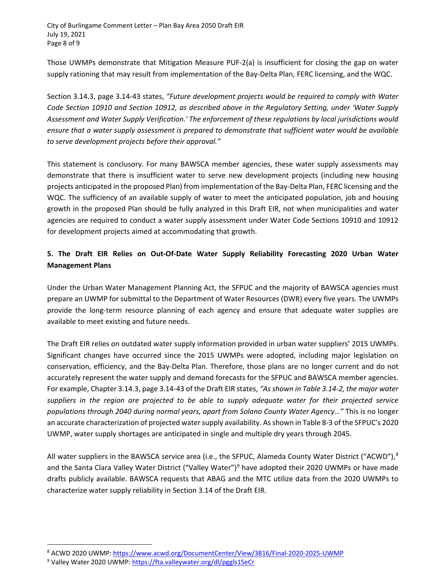City of Burlingame Comment Letter – Plan Bay Area 2050 Draft EIR July 19, 2021 Page 8 of 9

Those UWMPs demonstrate that Mitigation Measure PUF-2(a) is insufficient for closing the gap on water supply rationing that may result from implementation of the Bay-Delta Plan, FERC licensing, and the WQC.

Section 3.14.3, page 3.14-43 states, *"Future development projects would be required to comply with Water Code Section 10910 and Section 10912, as described above in the Regulatory Setting, under 'Water Supply Assessment and Water Supply Verification.' The enforcement of these regulations by local jurisdictions would ensure that a water supply assessment is prepared to demonstrate that sufficient water would be available to serve development projects before their approval."* 

This statement is conclusory. For many BAWSCA member agencies, these water supply assessments may demonstrate that there is insufficient water to serve new development projects (including new housing projects anticipated in the proposed Plan) from implementation of the Bay-Delta Plan, FERC licensing and the WQC. The sufficiency of an available supply of water to meet the anticipated population, job and housing growth in the proposed Plan should be fully analyzed in this Draft EIR, not when municipalities and water agencies are required to conduct a water supply assessment under Water Code Sections 10910 and 10912 for development projects aimed at accommodating that growth.

## **5. The Draft EIR Relies on Out-Of-Date Water Supply Reliability Forecasting 2020 Urban Water Management Plans**

Under the Urban Water Management Planning Act, the SFPUC and the majority of BAWSCA agencies must prepare an UWMP for submittal to the Department of Water Resources (DWR) every five years. The UWMPs provide the long-term resource planning of each agency and ensure that adequate water supplies are available to meet existing and future needs.

The Draft EIR relies on outdated water supply information provided in urban water suppliers' 2015 UWMPs. Significant changes have occurred since the 2015 UWMPs were adopted, including major legislation on conservation, efficiency, and the Bay-Delta Plan. Therefore, those plans are no longer current and do not accurately represent the water supply and demand forecasts for the SFPUC and BAWSCA member agencies. For example, Chapter 3.14.3, page 3.14-43 of the Draft EIR states, *"As shown in Table 3.14-2, the major water suppliers in the region are projected to be able to supply adequate water for their projected service populations through 2040 during normal years, apart from Solano County Water Agency…"* This is no longer an accurate characterization of projected water supply availability. As shown in Table 8-3 of the SFPUC's 2020 UWMP, water supply shortages are anticipated in single and multiple dry years through 2045.

All water suppliers in the BAWSCA service area (i.e., the SFPUC, Alameda County Water District ("ACWD"),<sup>[8](#page-7-0)</sup> and the Santa Clara Valley Water District ("Valley Water")<sup>[9](#page-7-1)</sup> have adopted their 2020 UWMPs or have made drafts publicly available. BAWSCA requests that ABAG and the MTC utilize data from the 2020 UWMPs to characterize water supply reliability in Section 3.14 of the Draft EIR.

<span id="page-7-0"></span> $\overline{a}$ <sup>8</sup> ACWD 2020 UWMP[: https://www.acwd.org/DocumentCenter/View/3816/Final-2020-2025-UWMP](https://www.acwd.org/DocumentCenter/View/3816/Final-2020-2025-UWMP)

<span id="page-7-1"></span><sup>&</sup>lt;sup>9</sup> Valley Water 2020 UWMP[: https://fta.valleywater.org/dl/pggls1SeCr](https://fta.valleywater.org/dl/pggls1SeCr)